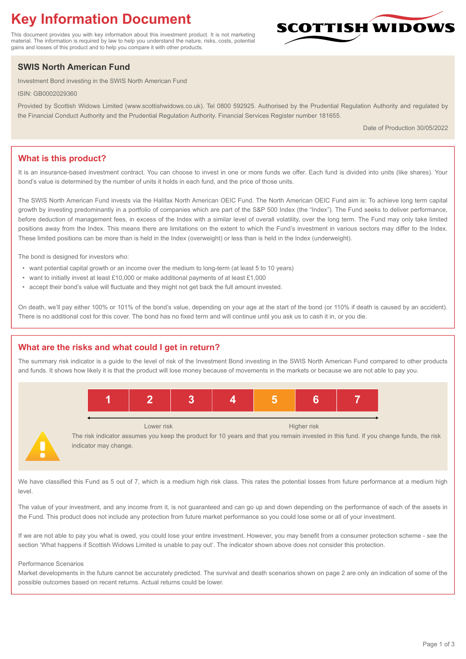# **Key Information Document**

This document provides you with key information about this investment product. It is not marketing material. The information is required by law to help you understand the nature, risks, costs, potential gains and losses of this product and to help you compare it with other products.

## **SWIS North American Fund**

Investment Bond investing in the SWIS North American Fund

ISIN: GB0002029360

Provided by Scottish Widows Limited (www.scottishwidows.co.uk). Tel 0800 592925. Authorised by the Prudential Regulation Authority and regulated by the Financial Conduct Authority and the Prudential Regulation Authority. Financial Services Register number 181655.

Date of Production 30/05/2022

SCOTTISH WIDOV

### **What is this product?**

It is an insurance-based investment contract. You can choose to invest in one or more funds we offer. Each fund is divided into units (like shares). Your bond's value is determined by the number of units it holds in each fund, and the price of those units.

The SWIS North American Fund invests via the Halifax North American OEIC Fund. The North American OEIC Fund aim is: To achieve long term capital growth by investing predominantly in a portfolio of companies which are part of the S&P 500 Index (the "Index"). The Fund seeks to deliver performance, before deduction of management fees, in excess of the Index with a similar level of overall volatility, over the long term. The Fund may only take limited positions away from the Index. This means there are limitations on the extent to which the Fund's investment in various sectors may differ to the Index. These limited positions can be more than is held in the Index (overweight) or less than is held in the Index (underweight).

The bond is designed for investors who:

- want potential capital growth or an income over the medium to long-term (at least 5 to 10 years)
- want to initially invest at least £10,000 or make additional payments of at least £1,000
- accept their bond's value will fluctuate and they might not get back the full amount invested.

On death, we'll pay either 100% or 101% of the bond's value, depending on your age at the start of the bond (or 110% if death is caused by an accident). There is no additional cost for this cover. The bond has no fixed term and will continue until you ask us to cash it in, or you die.

#### **What are the risks and what could I get in return?**

The summary risk indicator is a guide to the level of risk of the Investment Bond investing in the SWIS North American Fund compared to other products and funds. It shows how likely it is that the product will lose money because of movements in the markets or because we are not able to pay you.



The risk indicator assumes you keep the product for 10 years and that you remain invested in this fund. If you change funds, the risk indicator may change.

We have classified this Fund as 5 out of 7, which is a medium high risk class. This rates the potential losses from future performance at a medium high level.

The value of your investment, and any income from it, is not guaranteed and can go up and down depending on the performance of each of the assets in the Fund. This product does not include any protection from future market performance so you could lose some or all of your investment.

If we are not able to pay you what is owed, you could lose your entire investment. However, you may benefit from a consumer protection scheme - see the section 'What happens if Scottish Widows Limited is unable to pay out'. The indicator shown above does not consider this protection.

#### Performance Scenarios

Market developments in the future cannot be accurately predicted. The survival and death scenarios shown on page 2 are only an indication of some of the possible outcomes based on recent returns. Actual returns could be lower.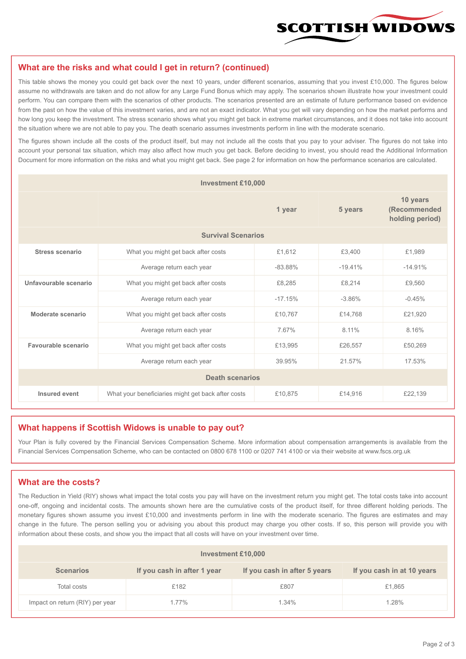

#### **What are the risks and what could I get in return? (continued)**

This table shows the money you could get back over the next 10 years, under different scenarios, assuming that you invest £10,000. The figures below assume no withdrawals are taken and do not allow for any Large Fund Bonus which may apply. The scenarios shown illustrate how your investment could perform. You can compare them with the scenarios of other products. The scenarios presented are an estimate of future performance based on evidence from the past on how the value of this investment varies, and are not an exact indicator. What you get will vary depending on how the market performs and how long you keep the investment. The stress scenario shows what you might get back in extreme market circumstances, and it does not take into account the situation where we are not able to pay you. The death scenario assumes investments perform in line with the moderate scenario.

The figures shown include all the costs of the product itself, but may not include all the costs that you pay to your adviser. The figures do not take into account your personal tax situation, which may also affect how much you get back. Before deciding to invest, you should read the Additional Information Document for more information on the risks and what you might get back. See page 2 for information on how the performance scenarios are calculated.

| <b>Investment £10,000</b> |                                                    |           |                                             |           |  |  |
|---------------------------|----------------------------------------------------|-----------|---------------------------------------------|-----------|--|--|
|                           |                                                    | 5 years   | 10 years<br>(Recommended<br>holding period) |           |  |  |
| <b>Survival Scenarios</b> |                                                    |           |                                             |           |  |  |
| <b>Stress scenario</b>    | What you might get back after costs                | £1,612    | £3,400                                      | £1,989    |  |  |
|                           | $-83.88%$<br>Average return each year              |           | $-19.41%$                                   | $-14.91%$ |  |  |
| Unfavourable scenario     | What you might get back after costs<br>£8,285      |           | £8,214                                      | £9,560    |  |  |
|                           | Average return each year                           | $-17.15%$ | $-3.86%$                                    | $-0.45%$  |  |  |
| Moderate scenario         | What you might get back after costs                | £10,767   | £14.768                                     | £21,920   |  |  |
|                           | Average return each year                           | 767%      | 8.11%                                       | 8.16%     |  |  |
| Favourable scenario       | What you might get back after costs                | £13,995   | £26,557                                     | £50,269   |  |  |
|                           | Average return each year                           | 39.95%    | 21.57%                                      | 17.53%    |  |  |
| <b>Death scenarios</b>    |                                                    |           |                                             |           |  |  |
| Insured event             | What your beneficiaries might get back after costs | £10,875   | £14,916                                     | £22,139   |  |  |

#### **What happens if Scottish Widows is unable to pay out?**

Your Plan is fully covered by the Financial Services Compensation Scheme. More information about compensation arrangements is available from the Financial Services Compensation Scheme, who can be contacted on 0800 678 1100 or 0207 741 4100 or via their website at www.fscs.org.uk

#### **What are the costs?**

The Reduction in Yield (RIY) shows what impact the total costs you pay will have on the investment return you might get. The total costs take into account one-off, ongoing and incidental costs. The amounts shown here are the cumulative costs of the product itself, for three different holding periods. The monetary figures shown assume you invest £10,000 and investments perform in line with the moderate scenario. The figures are estimates and may change in the future. The person selling you or advising you about this product may charge you other costs. If so, this person will provide you with information about these costs, and show you the impact that all costs will have on your investment over time.

| Investment £10,000              |                             |                              |                            |  |  |  |
|---------------------------------|-----------------------------|------------------------------|----------------------------|--|--|--|
| <b>Scenarios</b>                | If you cash in after 1 year | If you cash in after 5 years | If you cash in at 10 years |  |  |  |
| Total costs                     | £182                        | £807                         | £1,865                     |  |  |  |
| Impact on return (RIY) per year | 1.77%                       | 1.34%                        | 1.28%                      |  |  |  |